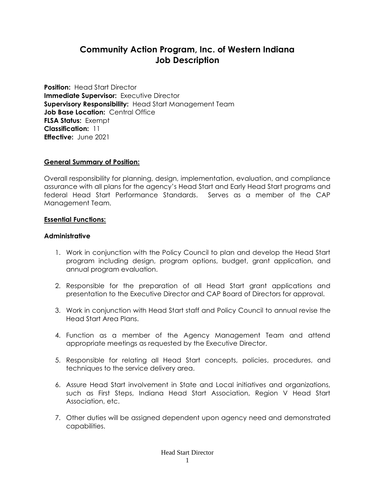# **Community Action Program, Inc. of Western Indiana Job Description**

**Position:** Head Start Director **Immediate Supervisor:** Executive Director **Supervisory Responsibility:** Head Start Management Team **Job Base Location:** Central Office **FLSA Status:** Exempt **Classification:** 11 **Effective:** June 2021

### **General Summary of Position:**

Overall responsibility for planning, design, implementation, evaluation, and compliance assurance with all plans for the agency's Head Start and Early Head Start programs and federal Head Start Performance Standards. Serves as a member of the CAP Management Team.

### **Essential Functions:**

# **Administrative**

- 1. Work in conjunction with the Policy Council to plan and develop the Head Start program including design, program options, budget, grant application, and annual program evaluation.
- 2. Responsible for the preparation of all Head Start grant applications and presentation to the Executive Director and CAP Board of Directors for approval.
- 3. Work in conjunction with Head Start staff and Policy Council to annual revise the Head Start Area Plans.
- 4. Function as a member of the Agency Management Team and attend appropriate meetings as requested by the Executive Director.
- 5. Responsible for relating all Head Start concepts, policies, procedures, and techniques to the service delivery area.
- 6. Assure Head Start involvement in State and Local initiatives and organizations, such as First Steps, Indiana Head Start Association, Region V Head Start Association, etc.
- 7. Other duties will be assigned dependent upon agency need and demonstrated capabilities.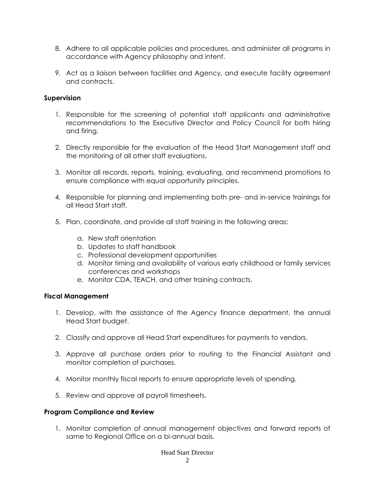- 8. Adhere to all applicable policies and procedures, and administer all programs in accordance with Agency philosophy and intent.
- 9. Act as a liaison between facilities and Agency, and execute facility agreement and contracts.

# **Supervision**

- 1. Responsible for the screening of potential staff applicants and administrative recommendations to the Executive Director and Policy Council for both hiring and firing.
- 2. Directly responsible for the evaluation of the Head Start Management staff and the monitoring of all other staff evaluations.
- 3. Monitor all records, reports, training, evaluating, and recommend promotions to ensure compliance with equal opportunity principles.
- 4. Responsible for planning and implementing both pre- and in-service trainings for all Head Start staff.
- 5. Plan, coordinate, and provide all staff training in the following areas:
	- a. New staff orientation
	- b. Updates to staff handbook
	- c. Professional development opportunities
	- d. Monitor timing and availability of various early childhood or family services conferences and workshops
	- e. Monitor CDA, TEACH, and other training contracts.

## **Fiscal Management**

- 1. Develop, with the assistance of the Agency finance department, the annual Head Start budget.
- 2. Classify and approve all Head Start expenditures for payments to vendors.
- 3. Approve all purchase orders prior to routing to the Financial Assistant and monitor completion of purchases.
- 4. Monitor monthly fiscal reports to ensure appropriate levels of spending.
- 5. Review and approve all payroll timesheets.

## **Program Compliance and Review**

1. Monitor completion of annual management objectives and forward reports of same to Regional Office on a bi-annual basis.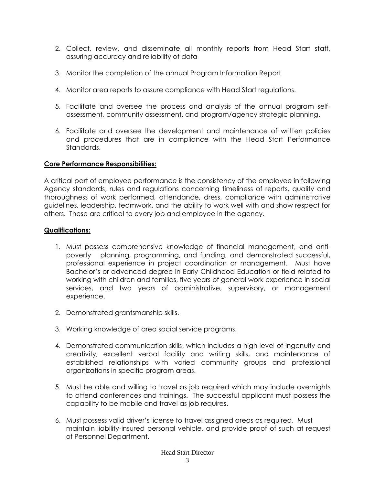- 2. Collect, review, and disseminate all monthly reports from Head Start staff, assuring accuracy and reliability of data
- 3. Monitor the completion of the annual Program Information Report
- 4. Monitor area reports to assure compliance with Head Start regulations.
- 5. Facilitate and oversee the process and analysis of the annual program selfassessment, community assessment, and program/agency strategic planning.
- 6. Facilitate and oversee the development and maintenance of written policies and procedures that are in compliance with the Head Start Performance Standards.

## **Core Performance Responsibilities:**

A critical part of employee performance is the consistency of the employee in following Agency standards, rules and regulations concerning timeliness of reports, quality and thoroughness of work performed, attendance, dress, compliance with administrative guidelines, leadership, teamwork, and the ability to work well with and show respect for others. These are critical to every job and employee in the agency.

### **Qualifications:**

- 1. Must possess comprehensive knowledge of financial management, and antipoverty planning, programming, and funding, and demonstrated successful, professional experience in project coordination or management. Must have Bachelor's or advanced degree in Early Childhood Education or field related to working with children and families, five years of general work experience in social services, and two years of administrative, supervisory, or management experience.
- 2. Demonstrated grantsmanship skills.
- 3. Working knowledge of area social service programs.
- 4. Demonstrated communication skills, which includes a high level of ingenuity and creativity, excellent verbal facility and writing skills, and maintenance of established relationships with varied community groups and professional organizations in specific program areas.
- 5. Must be able and willing to travel as job required which may include overnights to attend conferences and trainings. The successful applicant must possess the capability to be mobile and travel as job requires.
- 6. Must possess valid driver's license to travel assigned areas as required. Must maintain liability-insured personal vehicle, and provide proof of such at request of Personnel Department.